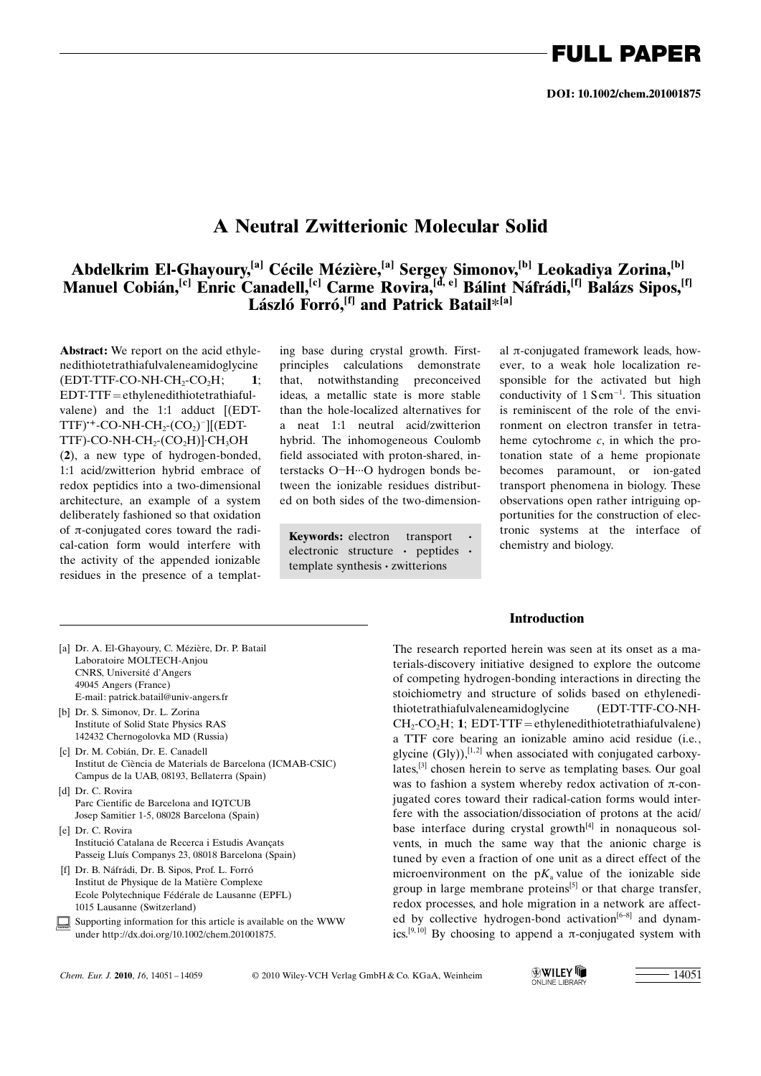## FULL PAPER

### A Neutral Zwitterionic Molecular Solid

### Abdelkrim El-Ghayoury,<sup>[a]</sup> Cécile Mézière,<sup>[a]</sup> Sergey Simonov,<sup>[b]</sup> Leokadiya Zorina,<sup>[b]</sup> Manuel Cobián,<sup>[c]</sup> Enric Canadell,<sup>[c]</sup> Carme Rovira,<sup>[d, e]</sup> Bálint Náfrádi,<sup>[f]</sup> Balázs Sipos,<sup>[f]</sup> László Forró,  $[f]$  and Patrick Batail\*<sup>[a]</sup>

Abstract: We report on the acid ethylenedithiotetrathiafulvaleneamidoglycine  $(EDT-TTF-CO-NH-CH,-CO,H;$  1; EDT-TTF=ethylenedithiotetrathiafulvalene) and the 1:1 adduct [(EDT- $TTF$ )\*-CO-NH-CH<sub>2</sub>-(CO<sub>2</sub>)<sup>-</sup>][(EDT-TTF)-CO-NH-CH<sub>2</sub>-(CO<sub>2</sub>H)] $\cdot$ CH<sub>3</sub>OH (2), a new type of hydrogen-bonded, 1:1 acid/zwitterion hybrid embrace of redox peptidics into a two-dimensional architecture, an example of a system deliberately fashioned so that oxidation of  $\pi$ -conjugated cores toward the radical-cation form would interfere with the activity of the appended ionizable residues in the presence of a templat-

ing base during crystal growth. Firstprinciples calculations demonstrate that, notwithstanding preconceived ideas, a metallic state is more stable than the hole-localized alternatives for a neat 1:1 neutral acid/zwitterion hybrid. The inhomogeneous Coulomb field associated with proton-shared, interstacks O-H···O hydrogen bonds between the ionizable residues distributed on both sides of the two-dimension-

**Keywords:** electron transport · utility and biology. electronic structure · peptides · template synthesis · zwitterions

al  $\pi$ -conjugated framework leads, however, to a weak hole localization responsible for the activated but high conductivity of  $1 \text{ S cm}^{-1}$ . This situation is reminiscent of the role of the environment on electron transfer in tetraheme cytochrome c, in which the protonation state of a heme propionate becomes paramount, or ion-gated transport phenomena in biology. These observations open rather intriguing opportunities for the construction of electronic systems at the interface of

- [a] Dr. A. El-Ghayoury, C. Mézière, Dr. P. Batail Laboratoire MOLTECH-Anjou CNRS, Université d'Angers 49045 Angers (France) E-mail: patrick.batail@univ-angers.fr
- [b] Dr. S. Simonov, Dr. L. Zorina Institute of Solid State Physics RAS 142432 Chernogolovka MD (Russia)
- [c] Dr. M. Cobián, Dr. E. Canadell Institut de Ciència de Materials de Barcelona (ICMAB-CSIC) Campus de la UAB, 08193, Bellaterra (Spain)
- [d] Dr. C. Rovira Parc Cientific de Barcelona and IQTCUB Josep Samitier 1-5, 08028 Barcelona (Spain)
- [e] Dr. C. Rovira Institució Catalana de Recerca i Estudis Avançats Passeig Llus Companys 23, 08018 Barcelona (Spain)
- [f] Dr. B. Náfrádi, Dr. B. Sipos, Prof. L. Forró Institut de Physique de la Matière Complexe Ecole Polytechnique Fédérale de Lausanne (EPFL) 1015 Lausanne (Switzerland)
- Supporting information for this article is available on the WWW under http://dx.doi.org/10.1002/chem.201001875.

Introduction

The research reported herein was seen at its onset as a materials-discovery initiative designed to explore the outcome of competing hydrogen-bonding interactions in directing the stoichiometry and structure of solids based on ethylenedithiotetrathiafulvaleneamidoglycine (EDT-TTF-CO-NH-CH<sub>2</sub>-CO<sub>2</sub>H; 1; EDT-TTF=ethylenedithiotetrathiafulvalene) a TTF core bearing an ionizable amino acid residue (i.e., glycine  $(G|v)$ ),<sup>[1,2]</sup> when associated with conjugated carboxylates,[3] chosen herein to serve as templating bases. Our goal was to fashion a system whereby redox activation of  $\pi$ -conjugated cores toward their radical-cation forms would interfere with the association/dissociation of protons at the acid/ base interface during crystal growth $[4]$  in nonaqueous solvents, in much the same way that the anionic charge is tuned by even a fraction of one unit as a direct effect of the microenvironment on the  $pK_a$  value of the ionizable side group in large membrane proteins<sup>[5]</sup> or that charge transfer, redox processes, and hole migration in a network are affected by collective hydrogen-bond activation<sup>[6-8]</sup> and dynamics.<sup>[9,10]</sup> By choosing to append a  $\pi$ -conjugated system with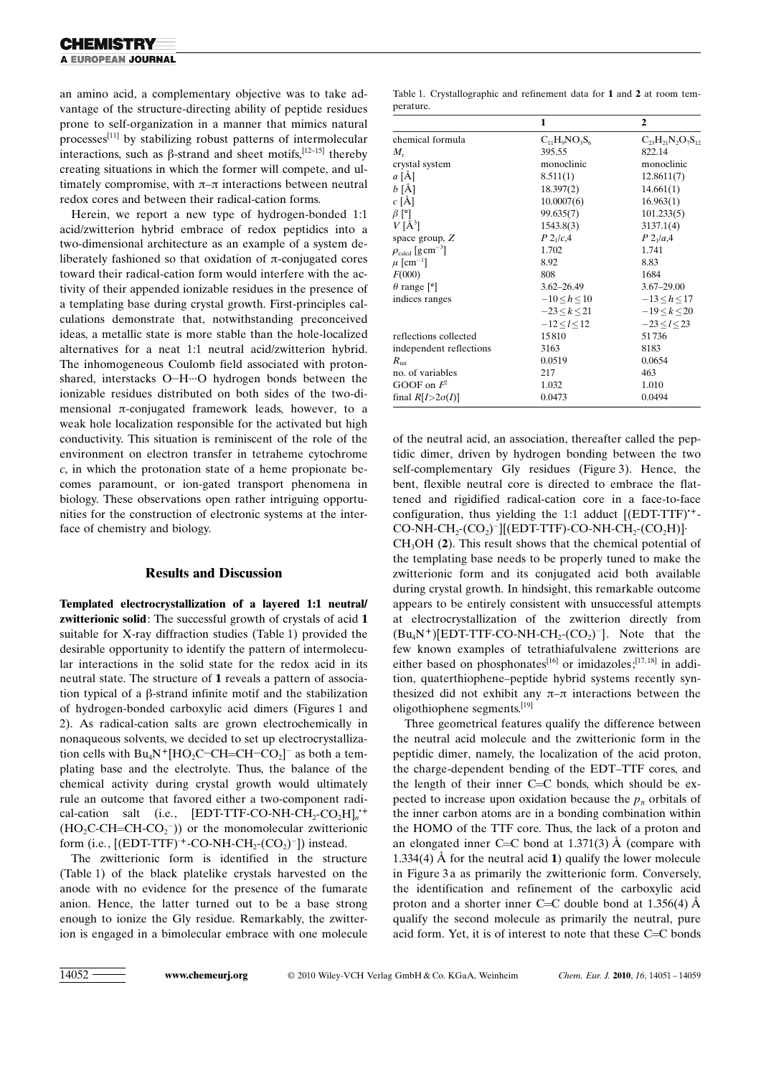an amino acid, a complementary objective was to take advantage of the structure-directing ability of peptide residues prone to self-organization in a manner that mimics natural processes[11] by stabilizing robust patterns of intermolecular interactions, such as  $\beta$ -strand and sheet motifs,  $[12-15]$  thereby creating situations in which the former will compete, and ultimately compromise, with  $\pi-\pi$  interactions between neutral redox cores and between their radical-cation forms.

Herein, we report a new type of hydrogen-bonded 1:1 acid/zwitterion hybrid embrace of redox peptidics into a two-dimensional architecture as an example of a system deliberately fashioned so that oxidation of  $\pi$ -conjugated cores toward their radical-cation form would interfere with the activity of their appended ionizable residues in the presence of a templating base during crystal growth. First-principles calculations demonstrate that, notwithstanding preconceived ideas, a metallic state is more stable than the hole-localized alternatives for a neat 1:1 neutral acid/zwitterion hybrid. The inhomogeneous Coulomb field associated with protonshared, interstacks O-H-O hydrogen bonds between the ionizable residues distributed on both sides of the two-dimensional  $\pi$ -conjugated framework leads, however, to a weak hole localization responsible for the activated but high conductivity. This situation is reminiscent of the role of the environment on electron transfer in tetraheme cytochrome  $c$ , in which the protonation state of a heme propionate becomes paramount, or ion-gated transport phenomena in biology. These observations open rather intriguing opportunities for the construction of electronic systems at the interface of chemistry and biology.

#### Results and Discussion

Templated electrocrystallization of a layered 1:1 neutral/ zwitterionic solid: The successful growth of crystals of acid 1 suitable for X-ray diffraction studies (Table 1) provided the desirable opportunity to identify the pattern of intermolecular interactions in the solid state for the redox acid in its neutral state. The structure of 1 reveals a pattern of association typical of a  $\beta$ -strand infinite motif and the stabilization of hydrogen-bonded carboxylic acid dimers (Figures 1 and 2). As radical-cation salts are grown electrochemically in nonaqueous solvents, we decided to set up electrocrystallization cells with  $Bu_4N^+[HO_2C-CH=CH=CO_2]$ <sup>-</sup> as both a templating base and the electrolyte. Thus, the balance of the chemical activity during crystal growth would ultimately rule an outcome that favored either a two-component radical-cation salt (i.e.,  $[EDT-TTF-CO-NH-CH_2-CO_2H]_n^+$  $(HO_2C\text{-}CH=\text{-}Cl\text{-}CO_2^-)$  or the monomolecular zwitterionic form (i.e.,  $[(EDT-TTF)^+$ -CO-NH-CH<sub>2</sub>- $(CO_2)^-]$ ) instead.

The zwitterionic form is identified in the structure (Table 1) of the black platelike crystals harvested on the anode with no evidence for the presence of the fumarate anion. Hence, the latter turned out to be a base strong enough to ionize the Gly residue. Remarkably, the zwitterion is engaged in a bimolecular embrace with one molecule

Table 1. Crystallographic and refinement data for 1 and 2 at room temperature.

|                                           | 1                  | $\mathbf{2}$               |
|-------------------------------------------|--------------------|----------------------------|
| chemical formula                          | $C_{11}H_9NO_3S_6$ | $C_{23}H_{21}N_2O_7S_{12}$ |
| $M_{r}$                                   | 395.55             | 822.14                     |
| crystal system                            | monoclinic         | monoclinic                 |
| $a \overrightarrow{[A]}$                  | 8.511(1)           | 12.8611(7)                 |
| $b \overline{[A]}$                        | 18.397(2)          | 14.661(1)                  |
| $c [\AA]$                                 | 10.0007(6)         | 16.963(1)                  |
| $\beta$ [°]                               | 99.635(7)          | 101.233(5)                 |
| $V[\AA^3]$                                | 1543.8(3)          | 3137.1(4)                  |
| space group, $Z$                          | $P_{2_1/c,4}$      | $P_{1/a,4}$                |
| $\rho_{\rm{calcd}}$ [g cm <sup>-3</sup> ] | 1.702              | 1.741                      |
| $\mu$ [cm <sup>-1</sup> ]                 | 8.92               | 8.83                       |
| F(000)                                    | 808                | 1684                       |
| $\theta$ range $[$ °]                     | $3.62 - 26.49$     | $3.67 - 29.00$             |
| indices ranges                            | $-10 < h < 10$     | $-13 < h < 17$             |
|                                           | $-23 < k < 21$     | $-19 < k < 20$             |
|                                           | $-12 < l < 12$     | $-23 < l < 23$             |
| reflections collected                     | 15810              | 51736                      |
| independent reflections                   | 3163               | 8183                       |
| $R_{\rm int}$                             | 0.0519             | 0.0654                     |
| no. of variables                          | 217                | 463                        |
| GOOF on $F^2$                             | 1.032              | 1.010                      |
| final $R[I>2\sigma(I)]$                   | 0.0473             | 0.0494                     |

of the neutral acid, an association, thereafter called the peptidic dimer, driven by hydrogen bonding between the two self-complementary Gly residues (Figure 3). Hence, the bent, flexible neutral core is directed to embrace the flattened and rigidified radical-cation core in a face-to-face configuration, thus yielding the 1:1 adduct  $[(EDT-TTF)^{+} CO-NH-CH_2-CO_2$ <sup>-</sup>][(EDT-TTF)-CO-NH-CH<sub>2</sub>-(CO<sub>2</sub>H)]· CH3OH (2). This result shows that the chemical potential of the templating base needs to be properly tuned to make the zwitterionic form and its conjugated acid both available during crystal growth. In hindsight, this remarkable outcome appears to be entirely consistent with unsuccessful attempts at electrocrystallization of the zwitterion directly from  $(Bu_4N^+)[EDT-TTF-CO-NH-CH_2(CO_2)^-]$ . Note that the few known examples of tetrathiafulvalene zwitterions are either based on phosphonates<sup>[16]</sup> or imidazoles;<sup>[17,18]</sup> in addition, quaterthiophene–peptide hybrid systems recently synthesized did not exhibit any  $\pi-\pi$  interactions between the oligothiophene segments.[19]

Three geometrical features qualify the difference between the neutral acid molecule and the zwitterionic form in the peptidic dimer, namely, the localization of the acid proton, the charge-dependent bending of the EDT–TTF cores, and the length of their inner  $C=C$  bonds, which should be expected to increase upon oxidation because the  $p_{\pi}$  orbitals of the inner carbon atoms are in a bonding combination within the HOMO of the TTF core. Thus, the lack of a proton and an elongated inner C=C bond at 1.371(3)  $\AA$  (compare with 1.334(4) Å for the neutral acid 1) qualify the lower molecule in Figure 3a as primarily the zwitterionic form. Conversely, the identification and refinement of the carboxylic acid proton and a shorter inner C=C double bond at 1.356(4)  $\AA$ qualify the second molecule as primarily the neutral, pure acid form. Yet, it is of interest to note that these C=C bonds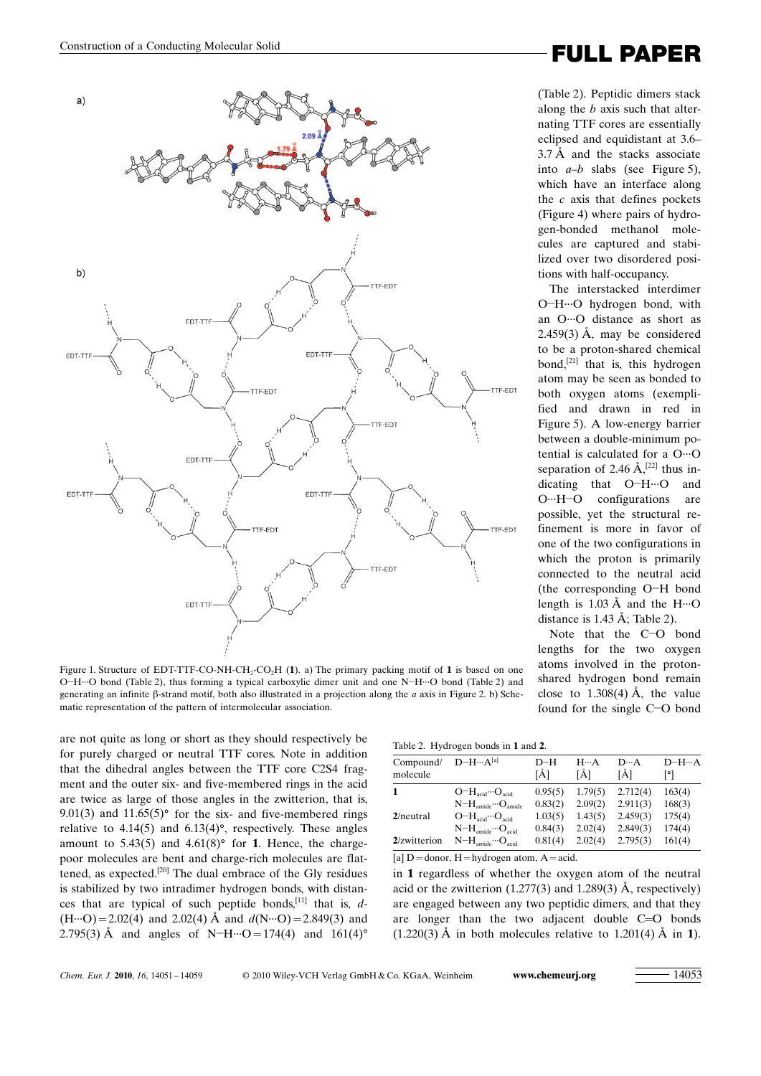

Figure 1. Structure of EDT-TTF-CO-NH-CH<sub>2</sub>-CO<sub>2</sub>H (1). a) The primary packing motif of 1 is based on one O-H···O bond (Table 2), thus forming a typical carboxylic dimer unit and one N-H···O bond (Table 2) and generating an infinite  $\beta$ -strand motif, both also illustrated in a projection along the *a* axis in Figure 2. b) Schematic representation of the pattern of intermolecular association.

are not quite as long or short as they should respectively be for purely charged or neutral TTF cores. Note in addition that the dihedral angles between the TTF core C2S4 fragment and the outer six- and five-membered rings in the acid are twice as large of those angles in the zwitterion, that is, 9.01(3) and  $11.65(5)$ ° for the six- and five-membered rings relative to  $4.14(5)$  and  $6.13(4)$ °, respectively. These angles amount to  $5.43(5)$  and  $4.61(8)$ ° for 1. Hence, the chargepoor molecules are bent and charge-rich molecules are flattened, as expected.[20] The dual embrace of the Gly residues is stabilized by two intradimer hydrogen bonds, with distances that are typical of such peptide bonds,<sup>[11]</sup> that is,  $d$ - $(H \cdots O) = 2.02(4)$  and  $2.02(4)$  Å and  $d(N \cdots O) = 2.849(3)$  and 2.795(3) Å and angles of N-H $\cdots$ O = 174(4) and 161(4)<sup>o</sup>

# Construction of a Conducting Molecular Solid **Construction** of a Conducting Molecular Solid

(Table 2). Peptidic dimers stack along the b axis such that alternating TTF cores are essentially eclipsed and equidistant at 3.6–  $3.7 \text{ Å}$  and the stacks associate into  $a-b$  slabs (see Figure 5), which have an interface along the  $c$  axis that defines pockets (Figure 4) where pairs of hydrogen-bonded methanol molecules are captured and stabilized over two disordered positions with half-occupancy.

The interstacked interdimer O-H-O hydrogen bond, with an O···O distance as short as  $2.459(3)$  Å, may be considered to be a proton-shared chemical bond,<sup>[21]</sup> that is, this hydrogen atom may be seen as bonded to both oxygen atoms (exemplified and drawn in red in Figure 5). A low-energy barrier between a double-minimum potential is calculated for a O···O separation of 2.46  $\AA$ ,<sup>[22]</sup> thus indicating that O-H-O and O···H-O configurations are possible, yet the structural refinement is more in favor of one of the two configurations in which the proton is primarily connected to the neutral acid (the corresponding O-H bond length is  $1.03 \text{ Å}$  and the H $\cdots$ O distance is  $1.43 \text{ Å}$ ; Table 2).

Note that the C-O bond lengths for the two oxygen atoms involved in the protonshared hydrogen bond remain close to  $1.308(4)$  Å, the value found for the single C-O bond

| Table 2. Hydrogen bonds in 1 and 2. |  |
|-------------------------------------|--|
|-------------------------------------|--|

| Compound/<br>molecule | $D-H \cdots A^{[a]}$                              | D-H<br>ſĂ1 | $H \cdots A$<br>[Å] | $D \cdot \cdot A$<br>[Å] | $D-H \cdots A$<br>[°] |
|-----------------------|---------------------------------------------------|------------|---------------------|--------------------------|-----------------------|
| 1                     | $O-HacidOacid$                                    | 0.95(5)    | 1.79(5)             | 2.712(4)                 | 163(4)                |
|                       | $N-H_{amide} \cdots O_{amide}$                    | 0.83(2)    | 2.09(2)             | 2.911(3)                 | 168(3)                |
| $2$ /neutral          | $O-H_{\rm acid}\cdots O_{\rm acid}$               | 1.03(5)    | 1.43(5)             | 2.459(3)                 | 175(4)                |
|                       | $N-H$ <sub>amide</sub> $\cdots$ O <sub>acid</sub> | 0.84(3)    | 2.02(4)             | 2.849(3)                 | 174(4)                |
| 2/zwitterion          | $N-H_{\text{amide}}\cdots O_{\text{acid}}$        | 0.81(4)    | 2.02(4)             | 2.795(3)                 | 161(4)                |
|                       |                                                   |            |                     |                          |                       |

 $[a]$  D = donor, H = hydrogen atom, A = acid.

in 1 regardless of whether the oxygen atom of the neutral acid or the zwitterion  $(1.277(3)$  and  $1.289(3)$  Å, respectively) are engaged between any two peptidic dimers, and that they are longer than the two adjacent double C=O bonds  $(1.220(3)$  Å in both molecules relative to 1.201(4) Å in 1).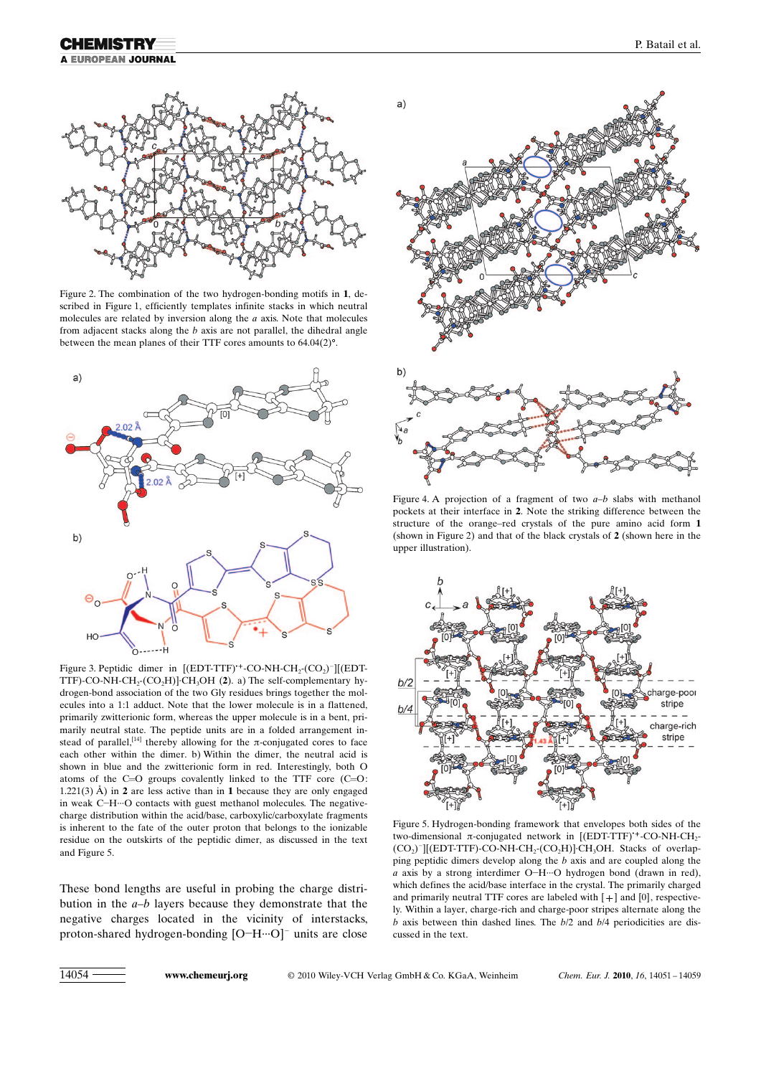## **A EUROPEAN JOURNAL**



Figure 2. The combination of the two hydrogen-bonding motifs in 1, described in Figure 1, efficiently templates infinite stacks in which neutral molecules are related by inversion along the  $a$  axis. Note that molecules from adjacent stacks along the b axis are not parallel, the dihedral angle between the mean planes of their TTF cores amounts to  $64.04(2)$ <sup>o</sup>.



Figure 3. Peptidic dimer in  $[(EDT-TTF)^+$ -CO-NH-CH<sub>2</sub>- $(CO_2)^-][(EDT-TTFT)^+$ TTF)-CO-NH-CH<sub>2</sub>-(CO<sub>2</sub>H)]·CH<sub>3</sub>OH (2). a) The self-complementary hydrogen-bond association of the two Gly residues brings together the molecules into a 1:1 adduct. Note that the lower molecule is in a flattened, primarily zwitterionic form, whereas the upper molecule is in a bent, primarily neutral state. The peptide units are in a folded arrangement instead of parallel,<sup>[14]</sup> thereby allowing for the  $\pi$ -conjugated cores to face each other within the dimer. b) Within the dimer, the neutral acid is shown in blue and the zwitterionic form in red. Interestingly, both O atoms of the  $C=O$  groups covalently linked to the TTF core  $(C=O)$ : 1.221(3)  $\AA$ ) in 2 are less active than in 1 because they are only engaged in weak C-H-O contacts with guest methanol molecules. The negativecharge distribution within the acid/base, carboxylic/carboxylate fragments is inherent to the fate of the outer proton that belongs to the ionizable residue on the outskirts of the peptidic dimer, as discussed in the text and Figure 5.

These bond lengths are useful in probing the charge distribution in the  $a-b$  layers because they demonstrate that the negative charges located in the vicinity of interstacks, proton-shared hydrogen-bonding [O-H-··O]<sup>-</sup> units are close



Figure 4. A projection of a fragment of two  $a-b$  slabs with methanol pockets at their interface in 2. Note the striking difference between the structure of the orange–red crystals of the pure amino acid form 1 (shown in Figure 2) and that of the black crystals of 2 (shown here in the upper illustration).



Figure 5. Hydrogen-bonding framework that envelopes both sides of the two-dimensional  $\pi$ -conjugated network in [(EDT-TTF)<sup>+</sup>-CO-NH-CH<sub>2</sub>-(CO<sub>2</sub>)<sup>-</sup>][(EDT-TTF)-CO-NH-CH<sub>2</sub>-(CO<sub>2</sub>H)]·CH<sub>3</sub>OH. Stacks of overlapping peptidic dimers develop along the b axis and are coupled along the a axis by a strong interdimer O-H-··O hydrogen bond (drawn in red), which defines the acid/base interface in the crystal. The primarily charged and primarily neutral TTF cores are labeled with  $[+]$  and  $[0]$ , respectively. Within a layer, charge-rich and charge-poor stripes alternate along the  $b$  axis between thin dashed lines. The  $b/2$  and  $b/4$  periodicities are discussed in the text.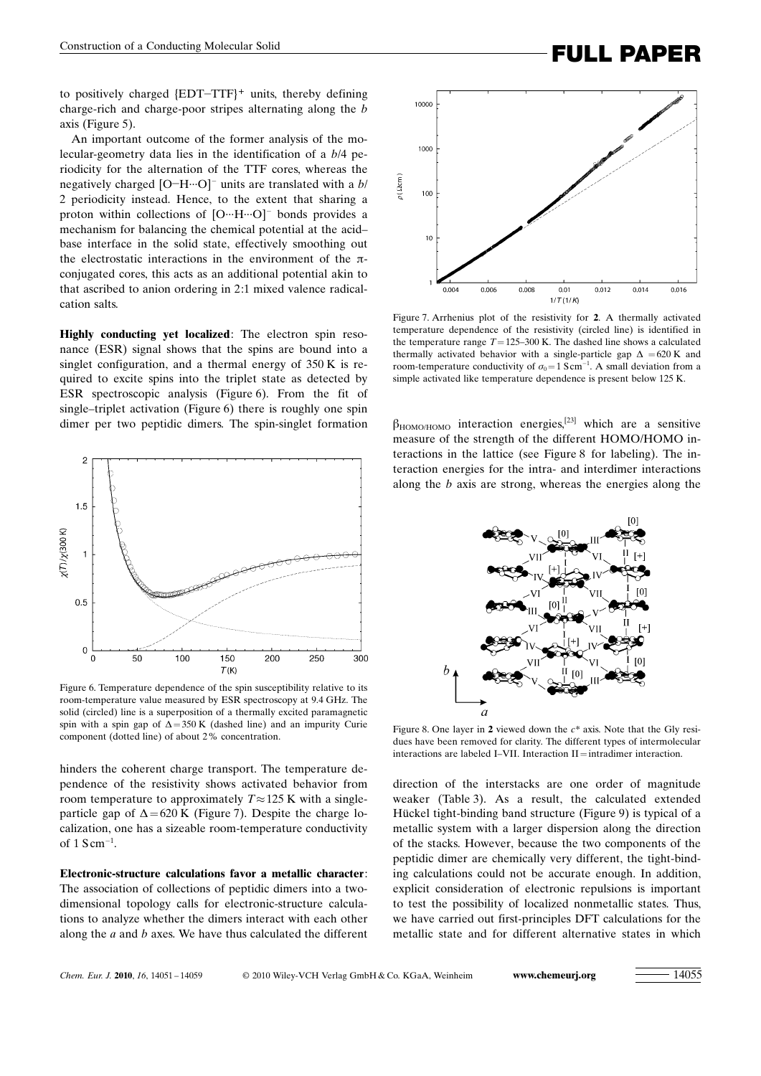to positively charged {EDT-TTF}<sup>+</sup> units, thereby defining charge-rich and charge-poor stripes alternating along the b axis (Figure 5).

An important outcome of the former analysis of the molecular-geometry data lies in the identification of a b/4 periodicity for the alternation of the TTF cores, whereas the negatively charged  $[O-H \cdots O]$ <sup>-</sup> units are translated with a  $b/$ 2 periodicity instead. Hence, to the extent that sharing a proton within collections of  $[O \cdots H \cdots O]$ <sup>-</sup> bonds provides a mechanism for balancing the chemical potential at the acid– base interface in the solid state, effectively smoothing out the electrostatic interactions in the environment of the  $\pi$ conjugated cores, this acts as an additional potential akin to that ascribed to anion ordering in 2:1 mixed valence radicalcation salts.

Highly conducting yet localized: The electron spin resonance (ESR) signal shows that the spins are bound into a singlet configuration, and a thermal energy of 350 K is required to excite spins into the triplet state as detected by ESR spectroscopic analysis (Figure 6). From the fit of single–triplet activation (Figure 6) there is roughly one spin dimer per two peptidic dimers. The spin-singlet formation



Figure 6. Temperature dependence of the spin susceptibility relative to its room-temperature value measured by ESR spectroscopy at 9.4 GHz. The solid (circled) line is a superposition of a thermally excited paramagnetic spin with a spin gap of  $\Delta = 350$  K (dashed line) and an impurity Curie component (dotted line) of about 2% concentration.

hinders the coherent charge transport. The temperature dependence of the resistivity shows activated behavior from room temperature to approximately  $T \approx 125$  K with a singleparticle gap of  $\Delta$ =620 K (Figure 7). Despite the charge localization, one has a sizeable room-temperature conductivity of  $1 \text{ S cm}^{-1}$ .

Electronic-structure calculations favor a metallic character: The association of collections of peptidic dimers into a twodimensional topology calls for electronic-structure calculations to analyze whether the dimers interact with each other along the  $a$  and  $b$  axes. We have thus calculated the different



Figure 7. Arrhenius plot of the resistivity for 2. A thermally activated temperature dependence of the resistivity (circled line) is identified in the temperature range  $T=125-300$  K. The dashed line shows a calculated thermally activated behavior with a single-particle gap  $\Delta = 620$  K and room-temperature conductivity of  $\sigma_0 = 1$  S cm<sup>-1</sup>. A small deviation from a simple activated like temperature dependence is present below 125 K.

 $\beta_{HOMO/HOMO}$  interaction energies,<sup>[23]</sup> which are a sensitive measure of the strength of the different HOMO/HOMO interactions in the lattice (see Figure 8 for labeling). The interaction energies for the intra- and interdimer interactions along the b axis are strong, whereas the energies along the



Figure 8. One layer in 2 viewed down the  $c^*$  axis. Note that the Gly residues have been removed for clarity. The different types of intermolecular interactions are labeled I–VII. Interaction  $II=$  intradimer interaction.

direction of the interstacks are one order of magnitude weaker (Table 3). As a result, the calculated extended H ckel tight-binding band structure (Figure 9) is typical of a metallic system with a larger dispersion along the direction of the stacks. However, because the two components of the peptidic dimer are chemically very different, the tight-binding calculations could not be accurate enough. In addition, explicit consideration of electronic repulsions is important to test the possibility of localized nonmetallic states. Thus, we have carried out first-principles DFT calculations for the metallic state and for different alternative states in which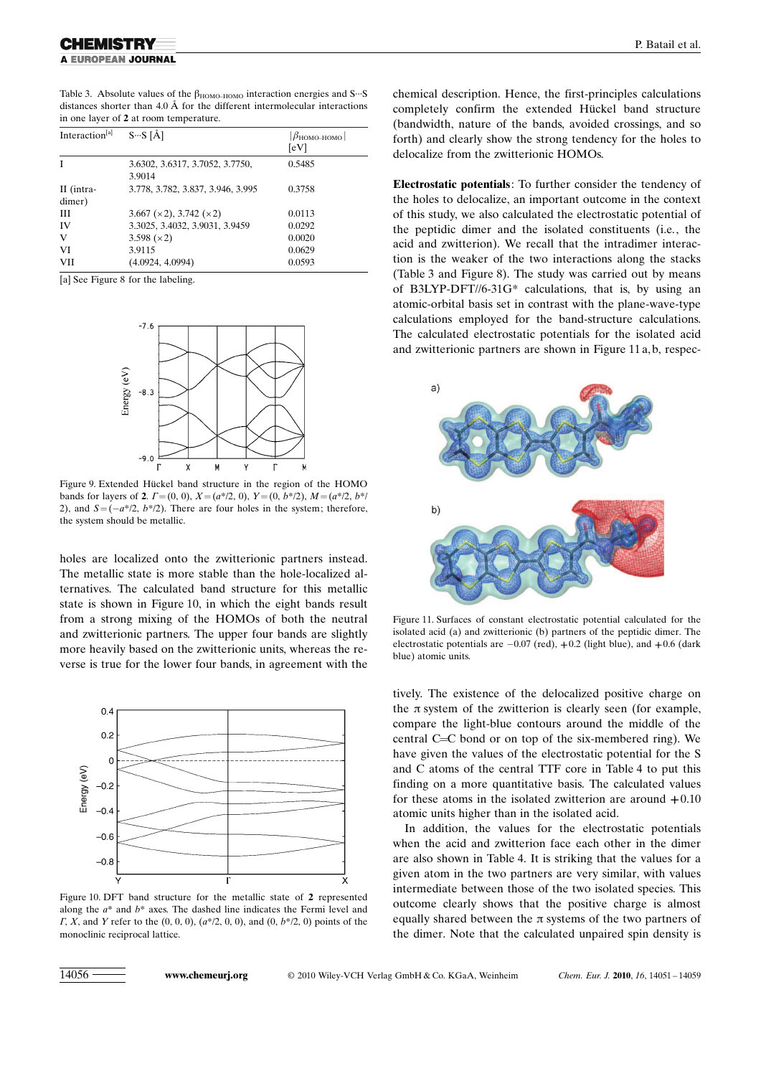Table 3. Absolute values of the  $\beta_{HOMO-HOMO}$  interaction energies and S···S distances shorter than  $4.0 \text{ Å}$  for the different intermolecular interactions in one layer of 2 at room temperature.

| Interaction <sup>[a]</sup> | $S-S[\AA]$                                | $ \beta_{\rm HOMO-HOMO} $<br>[eV] |
|----------------------------|-------------------------------------------|-----------------------------------|
| I                          | 3.6302, 3.6317, 3.7052, 3.7750,<br>3.9014 | 0.5485                            |
| II (intra-<br>dimer)       | 3.778, 3.782, 3.837, 3.946, 3.995         | 0.3758                            |
| Ш                          | $3.667 \times 2$ , $3.742 \times 2$       | 0.0113                            |
| IV                         | 3.3025, 3.4032, 3.9031, 3.9459            | 0.0292                            |
| $\mathbf{V}$               | 3.598 $(x2)$                              | 0.0020                            |
| VI                         | 3.9115                                    | 0.0629                            |
| VII                        | (4.0924, 4.0994)                          | 0.0593                            |

[a] See Figure 8 for the labeling.



Figure 9. Extended Hückel band structure in the region of the HOMO bands for layers of 2.  $\Gamma = (0, 0)$ ,  $X = (a<sup>*</sup>/2, 0)$ ,  $Y = (0, b<sup>*</sup>/2)$ ,  $M = (a<sup>*</sup>/2, b<sup>*</sup>/2)$ 2), and  $S = (-a^*/2, b^*/2)$ . There are four holes in the system; therefore, the system should be metallic.

holes are localized onto the zwitterionic partners instead. The metallic state is more stable than the hole-localized alternatives. The calculated band structure for this metallic state is shown in Figure 10, in which the eight bands result from a strong mixing of the HOMOs of both the neutral and zwitterionic partners. The upper four bands are slightly more heavily based on the zwitterionic units, whereas the reverse is true for the lower four bands, in agreement with the



Figure 10. DFT band structure for the metallic state of 2 represented along the  $a^*$  and  $b^*$  axes. The dashed line indicates the Fermi level and  $\Gamma$ , X, and Y refer to the  $(0, 0, 0)$ ,  $(a*/2, 0, 0)$ , and  $(0, b*/2, 0)$  points of the monoclinic reciprocal lattice.

chemical description. Hence, the first-principles calculations completely confirm the extended Hückel band structure (bandwidth, nature of the bands, avoided crossings, and so forth) and clearly show the strong tendency for the holes to delocalize from the zwitterionic HOMOs.

Electrostatic potentials: To further consider the tendency of the holes to delocalize, an important outcome in the context of this study, we also calculated the electrostatic potential of the peptidic dimer and the isolated constituents (i.e., the acid and zwitterion). We recall that the intradimer interaction is the weaker of the two interactions along the stacks (Table 3 and Figure 8). The study was carried out by means of B3LYP-DFT//6-31G\* calculations, that is, by using an atomic-orbital basis set in contrast with the plane-wave-type calculations employed for the band-structure calculations. The calculated electrostatic potentials for the isolated acid and zwitterionic partners are shown in Figure 11 a, b, respec-



Figure 11. Surfaces of constant electrostatic potential calculated for the isolated acid (a) and zwitterionic (b) partners of the peptidic dimer. The electrostatic potentials are  $-0.07$  (red),  $+0.2$  (light blue), and  $+0.6$  (dark blue) atomic units.

tively. The existence of the delocalized positive charge on the  $\pi$  system of the zwitterion is clearly seen (for example, compare the light-blue contours around the middle of the central C=C bond or on top of the six-membered ring). We have given the values of the electrostatic potential for the S and C atoms of the central TTF core in Table 4 to put this finding on a more quantitative basis. The calculated values for these atoms in the isolated zwitterion are around  $+0.10$ atomic units higher than in the isolated acid.

In addition, the values for the electrostatic potentials when the acid and zwitterion face each other in the dimer are also shown in Table 4. It is striking that the values for a given atom in the two partners are very similar, with values intermediate between those of the two isolated species. This outcome clearly shows that the positive charge is almost equally shared between the  $\pi$  systems of the two partners of the dimer. Note that the calculated unpaired spin density is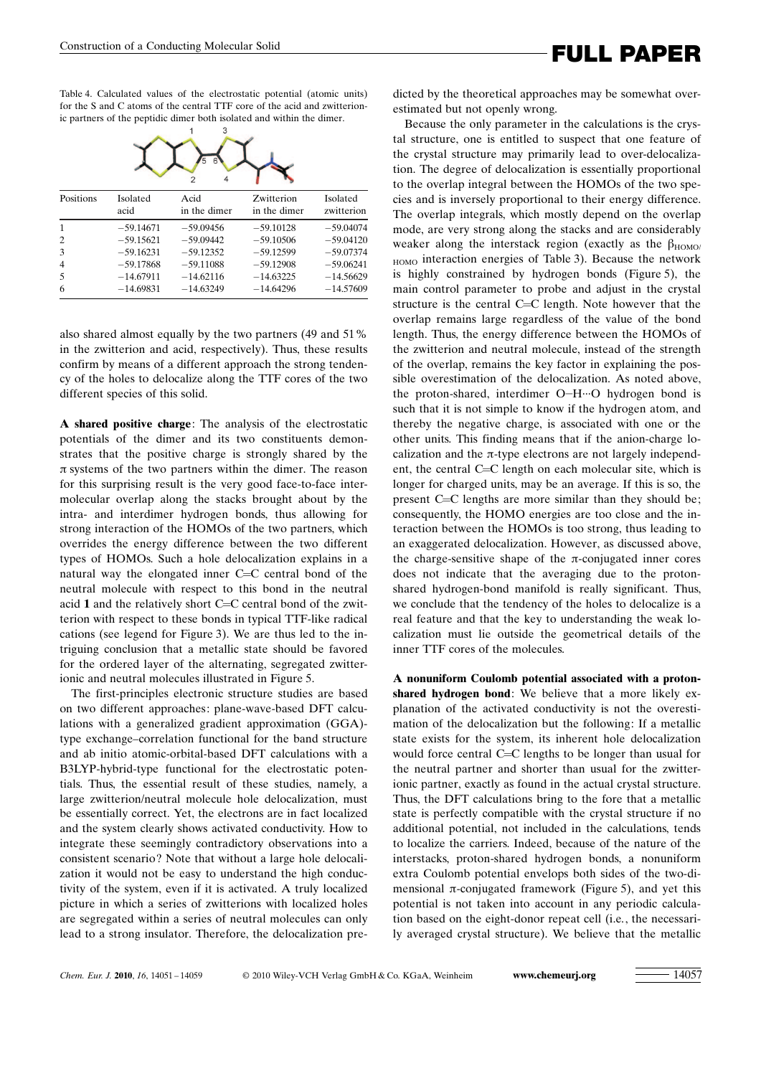Table 4. Calculated values of the electrostatic potential (atomic units) for the S and C atoms of the central TTF core of the acid and zwitterionic partners of the peptidic dimer both isolated and within the dimer.



| Positions      | Isolated<br>acid | Acid<br>in the dimer | Zwitterion<br>in the dimer | Isolated<br>zwitterion |
|----------------|------------------|----------------------|----------------------------|------------------------|
| -1             | $-59.14671$      | $-59.09456$          | $-59.10128$                | $-59.04074$            |
| 2              | $-59.15621$      | $-59.09442$          | $-59.10506$                | $-59.04120$            |
| 3              | $-59.16231$      | $-59.12352$          | $-59.12599$                | $-59.07374$            |
| $\overline{4}$ | $-59.17868$      | $-59.11088$          | $-59.12908$                | $-59.06241$            |
| .5             | $-14.67911$      | $-14.62116$          | $-14.63225$                | $-14.56629$            |
| 6              | $-14.69831$      | $-14.63249$          | $-14.64296$                | $-14.57609$            |
|                |                  |                      |                            |                        |

also shared almost equally by the two partners (49 and 51% in the zwitterion and acid, respectively). Thus, these results confirm by means of a different approach the strong tendency of the holes to delocalize along the TTF cores of the two different species of this solid.

A shared positive charge: The analysis of the electrostatic potentials of the dimer and its two constituents demonstrates that the positive charge is strongly shared by the  $\pi$  systems of the two partners within the dimer. The reason for this surprising result is the very good face-to-face intermolecular overlap along the stacks brought about by the intra- and interdimer hydrogen bonds, thus allowing for strong interaction of the HOMOs of the two partners, which overrides the energy difference between the two different types of HOMOs. Such a hole delocalization explains in a natural way the elongated inner C=C central bond of the neutral molecule with respect to this bond in the neutral acid 1 and the relatively short C=C central bond of the zwitterion with respect to these bonds in typical TTF-like radical cations (see legend for Figure 3). We are thus led to the intriguing conclusion that a metallic state should be favored for the ordered layer of the alternating, segregated zwitterionic and neutral molecules illustrated in Figure 5.

The first-principles electronic structure studies are based on two different approaches: plane-wave-based DFT calculations with a generalized gradient approximation (GGA) type exchange–correlation functional for the band structure and ab initio atomic-orbital-based DFT calculations with a B3LYP-hybrid-type functional for the electrostatic potentials. Thus, the essential result of these studies, namely, a large zwitterion/neutral molecule hole delocalization, must be essentially correct. Yet, the electrons are in fact localized and the system clearly shows activated conductivity. How to integrate these seemingly contradictory observations into a consistent scenario? Note that without a large hole delocalization it would not be easy to understand the high conductivity of the system, even if it is activated. A truly localized picture in which a series of zwitterions with localized holes are segregated within a series of neutral molecules can only lead to a strong insulator. Therefore, the delocalization pre-

FULL PAPER Construction of a Conducting Molecular Solid

dicted by the theoretical approaches may be somewhat overestimated but not openly wrong.

Because the only parameter in the calculations is the crystal structure, one is entitled to suspect that one feature of the crystal structure may primarily lead to over-delocalization. The degree of delocalization is essentially proportional to the overlap integral between the HOMOs of the two species and is inversely proportional to their energy difference. The overlap integrals, which mostly depend on the overlap mode, are very strong along the stacks and are considerably weaker along the interstack region (exactly as the  $\beta_{HOMO}$ ) HOMO interaction energies of Table 3). Because the network is highly constrained by hydrogen bonds (Figure 5), the main control parameter to probe and adjust in the crystal structure is the central C=C length. Note however that the overlap remains large regardless of the value of the bond length. Thus, the energy difference between the HOMOs of the zwitterion and neutral molecule, instead of the strength of the overlap, remains the key factor in explaining the possible overestimation of the delocalization. As noted above, the proton-shared, interdimer O-H···O hydrogen bond is such that it is not simple to know if the hydrogen atom, and thereby the negative charge, is associated with one or the other units. This finding means that if the anion-charge localization and the  $\pi$ -type electrons are not largely independent, the central C=C length on each molecular site, which is longer for charged units, may be an average. If this is so, the present C=C lengths are more similar than they should be; consequently, the HOMO energies are too close and the interaction between the HOMOs is too strong, thus leading to an exaggerated delocalization. However, as discussed above, the charge-sensitive shape of the  $\pi$ -conjugated inner cores does not indicate that the averaging due to the protonshared hydrogen-bond manifold is really significant. Thus, we conclude that the tendency of the holes to delocalize is a real feature and that the key to understanding the weak localization must lie outside the geometrical details of the inner TTF cores of the molecules.

A nonuniform Coulomb potential associated with a protonshared hydrogen bond: We believe that a more likely explanation of the activated conductivity is not the overestimation of the delocalization but the following: If a metallic state exists for the system, its inherent hole delocalization would force central C=C lengths to be longer than usual for the neutral partner and shorter than usual for the zwitterionic partner, exactly as found in the actual crystal structure. Thus, the DFT calculations bring to the fore that a metallic state is perfectly compatible with the crystal structure if no additional potential, not included in the calculations, tends to localize the carriers. Indeed, because of the nature of the interstacks, proton-shared hydrogen bonds, a nonuniform extra Coulomb potential envelops both sides of the two-dimensional  $\pi$ -conjugated framework (Figure 5), and yet this potential is not taken into account in any periodic calculation based on the eight-donor repeat cell (i.e., the necessarily averaged crystal structure). We believe that the metallic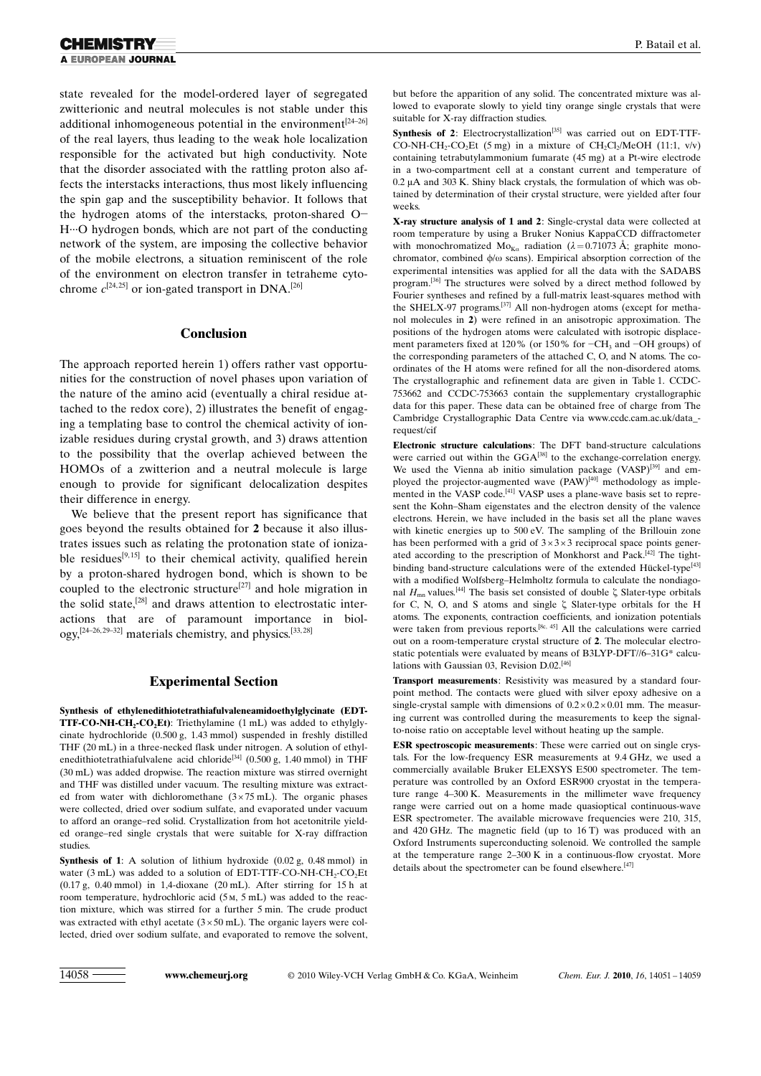state revealed for the model-ordered layer of segregated zwitterionic and neutral molecules is not stable under this additional inhomogeneous potential in the environment<sup>[24–26]</sup> of the real layers, thus leading to the weak hole localization responsible for the activated but high conductivity. Note that the disorder associated with the rattling proton also affects the interstacks interactions, thus most likely influencing the spin gap and the susceptibility behavior. It follows that the hydrogen atoms of the interstacks, proton-shared O- H···O hydrogen bonds, which are not part of the conducting network of the system, are imposing the collective behavior of the mobile electrons, a situation reminiscent of the role of the environment on electron transfer in tetraheme cytochrome  $c^{[24,25]}$  or ion-gated transport in DNA.<sup>[26]</sup>

### Conclusion

The approach reported herein 1) offers rather vast opportunities for the construction of novel phases upon variation of the nature of the amino acid (eventually a chiral residue attached to the redox core), 2) illustrates the benefit of engaging a templating base to control the chemical activity of ionizable residues during crystal growth, and 3) draws attention to the possibility that the overlap achieved between the HOMOs of a zwitterion and a neutral molecule is large enough to provide for significant delocalization despites their difference in energy.

We believe that the present report has significance that goes beyond the results obtained for 2 because it also illustrates issues such as relating the protonation state of ionizable residues<sup>[9,15]</sup> to their chemical activity, qualified herein by a proton-shared hydrogen bond, which is shown to be coupled to the electronic structure<sup>[27]</sup> and hole migration in the solid state,[28] and draws attention to electrostatic interactions that are of paramount importance in biology,<sup>[24–26,29–32]</sup> materials chemistry, and physics.<sup>[33,28]</sup>

### Experimental Section

Synthesis of ethylenedithiotetrathiafulvaleneamidoethylglycinate (EDT-**TTF-CO-NH-CH<sub>2</sub>-CO<sub>2</sub>Et**): Triethylamine  $(1 \text{ mL})$  was added to ethylglycinate hydrochloride (0.500 g, 1.43 mmol) suspended in freshly distilled THF (20 mL) in a three-necked flask under nitrogen. A solution of ethylenedithiotetrathiafulvalene acid chloride<sup>[34]</sup> (0.500 g, 1.40 mmol) in THF (30 mL) was added dropwise. The reaction mixture was stirred overnight and THF was distilled under vacuum. The resulting mixture was extracted from water with dichloromethane  $(3 \times 75 \text{ mL})$ . The organic phases were collected, dried over sodium sulfate, and evaporated under vacuum to afford an orange–red solid. Crystallization from hot acetonitrile yielded orange–red single crystals that were suitable for X-ray diffraction studies.

Synthesis of 1: A solution of lithium hydroxide (0.02 g, 0.48 mmol) in water  $(3 \text{ mL})$  was added to a solution of EDT-TTF-CO-NH-CH<sub>2</sub>-CO<sub>2</sub>Et (0.17 g, 0.40 mmol) in 1,4-dioxane (20 mL). After stirring for 15 h at room temperature, hydrochloric acid (5m, 5 mL) was added to the reaction mixture, which was stirred for a further 5 min. The crude product was extracted with ethyl acetate  $(3 \times 50 \text{ mL})$ . The organic layers were collected, dried over sodium sulfate, and evaporated to remove the solvent,

but before the apparition of any solid. The concentrated mixture was allowed to evaporate slowly to yield tiny orange single crystals that were suitable for X-ray diffraction studies.

Synthesis of 2: Electrocrystallization<sup>[35]</sup> was carried out on EDT-TTF-CO-NH-CH<sub>2</sub>-CO<sub>2</sub>Et (5 mg) in a mixture of CH<sub>2</sub>Cl<sub>2</sub>/MeOH (11:1, v/v) containing tetrabutylammonium fumarate (45 mg) at a Pt-wire electrode in a two-compartment cell at a constant current and temperature of  $0.2 \mu A$  and 303 K. Shiny black crystals, the formulation of which was obtained by determination of their crystal structure, were yielded after four weeks.

X-ray structure analysis of 1 and 2: Single-crystal data were collected at room temperature by using a Bruker Nonius KappaCCD diffractometer with monochromatized  $Mo_{Ka}$  radiation ( $\lambda = 0.71073$  Å; graphite monochromator, combined  $\phi/\omega$  scans). Empirical absorption correction of the experimental intensities was applied for all the data with the SADABS program.<sup>[36]</sup> The structures were solved by a direct method followed by Fourier syntheses and refined by a full-matrix least-squares method with the SHELX-97 programs.[37] All non-hydrogen atoms (except for methanol molecules in 2) were refined in an anisotropic approximation. The positions of the hydrogen atoms were calculated with isotropic displacement parameters fixed at 120% (or 150% for  $-CH_3$  and  $-OH$  groups) of the corresponding parameters of the attached C, O, and N atoms. The coordinates of the H atoms were refined for all the non-disordered atoms. The crystallographic and refinement data are given in Table 1. CCDC-753662 and CCDC-753663 contain the supplementary crystallographic data for this paper. These data can be obtained free of charge from The Cambridge Crystallographic Data Centre via www.ccdc.cam.ac.uk/data\_ request/cif

Electronic structure calculations: The DFT band-structure calculations were carried out within the  $GGA^{[38]}$  to the exchange-correlation energy. We used the Vienna ab initio simulation package (VASP)<sup>[39]</sup> and employed the projector-augmented wave  $(PAW)^{[40]}$  methodology as implemented in the VASP code.<sup>[41]</sup> VASP uses a plane-wave basis set to represent the Kohn–Sham eigenstates and the electron density of the valence electrons. Herein, we have included in the basis set all the plane waves with kinetic energies up to 500 eV. The sampling of the Brillouin zone has been performed with a grid of  $3 \times 3 \times 3$  reciprocal space points generated according to the prescription of Monkhorst and Pack.<sup>[42]</sup> The tightbinding band-structure calculations were of the extended Hückel-type<sup>[43]</sup> with a modified Wolfsberg–Helmholtz formula to calculate the nondiagonal  $H_{mn}$  values.<sup>[44]</sup> The basis set consisted of double  $\zeta$  Slater-type orbitals for C, N, O, and S atoms and single  $\zeta$  Slater-type orbitals for the H atoms. The exponents, contraction coefficients, and ionization potentials were taken from previous reports.<sup>[8c, 45]</sup> All the calculations were carried out on a room-temperature crystal structure of 2. The molecular electrostatic potentials were evaluated by means of B3LYP-DFT//6–31G\* calculations with Gaussian 03, Revision D.02.<sup>[46]</sup>

Transport measurements: Resistivity was measured by a standard fourpoint method. The contacts were glued with silver epoxy adhesive on a single-crystal sample with dimensions of  $0.2 \times 0.2 \times 0.01$  mm. The measuring current was controlled during the measurements to keep the signalto-noise ratio on acceptable level without heating up the sample.

ESR spectroscopic measurements: These were carried out on single crystals. For the low-frequency ESR measurements at 9.4 GHz, we used a commercially available Bruker ELEXSYS E500 spectrometer. The temperature was controlled by an Oxford ESR900 cryostat in the temperature range 4–300 K. Measurements in the millimeter wave frequency range were carried out on a home made quasioptical continuous-wave ESR spectrometer. The available microwave frequencies were 210, 315, and 420 GHz. The magnetic field (up to 16 T) was produced with an Oxford Instruments superconducting solenoid. We controlled the sample at the temperature range 2–300 K in a continuous-flow cryostat. More details about the spectrometer can be found elsewhere.<sup>[47]</sup>